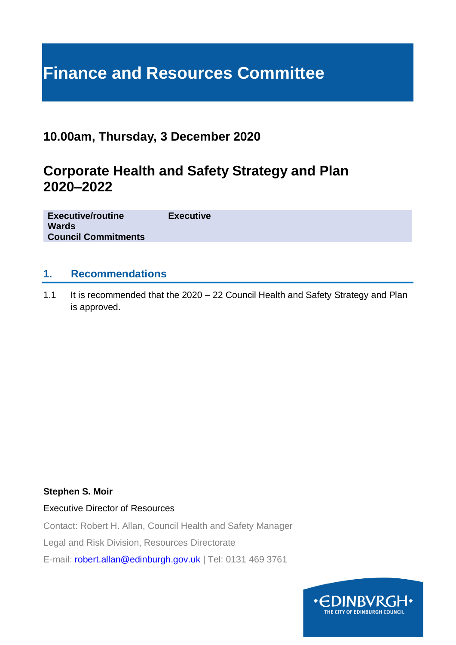# **Finance and Resources Committee**

## **10.00am, Thursday, 3 December 2020**

# **Corporate Health and Safety Strategy and Plan 2020–2022**

| <b>Executive/routine</b>   | <b>Executive</b> |
|----------------------------|------------------|
| <b>Wards</b>               |                  |
| <b>Council Commitments</b> |                  |
|                            |                  |

#### **1. Recommendations**

1.1 It is recommended that the 2020 – 22 Council Health and Safety Strategy and Plan is approved.

#### **Stephen S. Moir**

Executive Director of Resources

Contact: Robert H. Allan, Council Health and Safety Manager

Legal and Risk Division, Resources Directorate

E-mail: [robert.allan@edinburgh.gov.uk](mailto:robert.allan@edinburgh.gov.uk) | Tel: 0131 469 3761

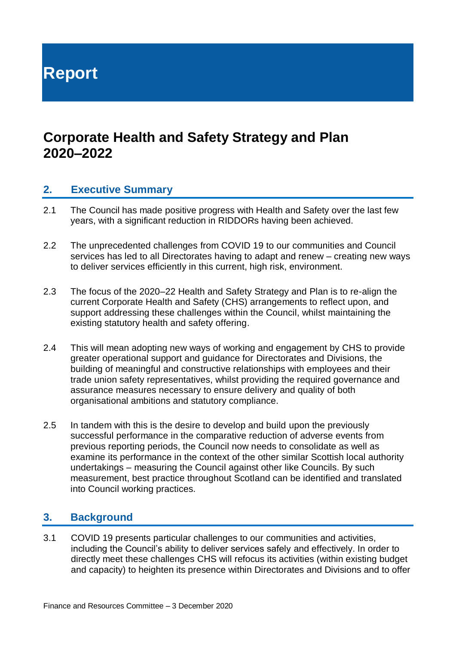**Report**

## **Corporate Health and Safety Strategy and Plan 2020–2022**

#### **2. Executive Summary**

- 2.1 The Council has made positive progress with Health and Safety over the last few years, with a significant reduction in RIDDORs having been achieved.
- 2.2 The unprecedented challenges from COVID 19 to our communities and Council services has led to all Directorates having to adapt and renew – creating new ways to deliver services efficiently in this current, high risk, environment.
- 2.3 The focus of the 2020–22 Health and Safety Strategy and Plan is to re-align the current Corporate Health and Safety (CHS) arrangements to reflect upon, and support addressing these challenges within the Council, whilst maintaining the existing statutory health and safety offering.
- 2.4 This will mean adopting new ways of working and engagement by CHS to provide greater operational support and guidance for Directorates and Divisions, the building of meaningful and constructive relationships with employees and their trade union safety representatives, whilst providing the required governance and assurance measures necessary to ensure delivery and quality of both organisational ambitions and statutory compliance.
- 2.5 In tandem with this is the desire to develop and build upon the previously successful performance in the comparative reduction of adverse events from previous reporting periods, the Council now needs to consolidate as well as examine its performance in the context of the other similar Scottish local authority undertakings – measuring the Council against other like Councils. By such measurement, best practice throughout Scotland can be identified and translated into Council working practices.

#### **3. Background**

3.1 COVID 19 presents particular challenges to our communities and activities, including the Council's ability to deliver services safely and effectively. In order to directly meet these challenges CHS will refocus its activities (within existing budget and capacity) to heighten its presence within Directorates and Divisions and to offer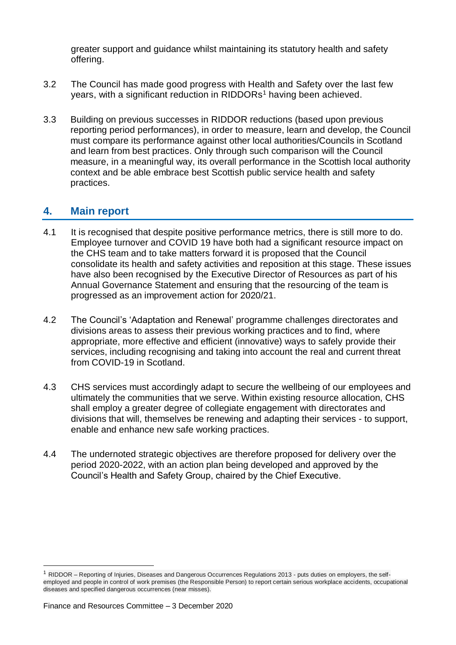greater support and guidance whilst maintaining its statutory health and safety offering.

- 3.2 The Council has made good progress with Health and Safety over the last few years, with a significant reduction in RIDDORs<sup>1</sup> having been achieved.
- 3.3 Building on previous successes in RIDDOR reductions (based upon previous reporting period performances), in order to measure, learn and develop, the Council must compare its performance against other local authorities/Councils in Scotland and learn from best practices. Only through such comparison will the Council measure, in a meaningful way, its overall performance in the Scottish local authority context and be able embrace best Scottish public service health and safety practices.

### **4. Main report**

- 4.1 It is recognised that despite positive performance metrics, there is still more to do. Employee turnover and COVID 19 have both had a significant resource impact on the CHS team and to take matters forward it is proposed that the Council consolidate its health and safety activities and reposition at this stage. These issues have also been recognised by the Executive Director of Resources as part of his Annual Governance Statement and ensuring that the resourcing of the team is progressed as an improvement action for 2020/21.
- 4.2 The Council's 'Adaptation and Renewal' programme challenges directorates and divisions areas to assess their previous working practices and to find, where appropriate, more effective and efficient (innovative) ways to safely provide their services, including recognising and taking into account the real and current threat from COVID-19 in Scotland.
- 4.3 CHS services must accordingly adapt to secure the wellbeing of our employees and ultimately the communities that we serve. Within existing resource allocation, CHS shall employ a greater degree of collegiate engagement with directorates and divisions that will, themselves be renewing and adapting their services - to support, enable and enhance new safe working practices.
- 4.4 The undernoted strategic objectives are therefore proposed for delivery over the period 2020-2022, with an action plan being developed and approved by the Council's Health and Safety Group, chaired by the Chief Executive.

1

 $1$  RIDDOR – Reporting of Injuries, Diseases and Dangerous Occurrences Regulations 2013 - puts duties on employers, the selfemployed and people in control of work premises (the Responsible Person) to report certain serious workplace accidents, occupational diseases and specified dangerous occurrences (near misses).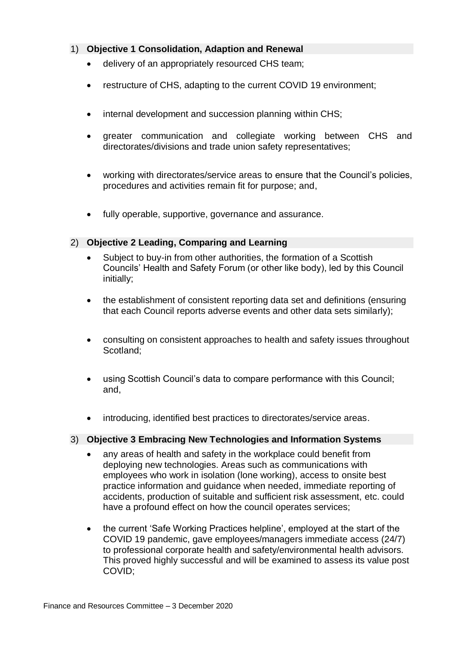#### 1) **Objective 1 Consolidation, Adaption and Renewal**

- delivery of an appropriately resourced CHS team;
- restructure of CHS, adapting to the current COVID 19 environment;
- internal development and succession planning within CHS;
- greater communication and collegiate working between CHS and directorates/divisions and trade union safety representatives;
- working with directorates/service areas to ensure that the Council's policies, procedures and activities remain fit for purpose; and,
- fully operable, supportive, governance and assurance.

#### 2) **Objective 2 Leading, Comparing and Learning**

- Subject to buy-in from other authorities, the formation of a Scottish Councils' Health and Safety Forum (or other like body), led by this Council initially;
- the establishment of consistent reporting data set and definitions (ensuring that each Council reports adverse events and other data sets similarly);
- consulting on consistent approaches to health and safety issues throughout Scotland;
- using Scottish Council's data to compare performance with this Council; and,
- introducing, identified best practices to directorates/service areas.

#### 3) **Objective 3 Embracing New Technologies and Information Systems**

- any areas of health and safety in the workplace could benefit from deploying new technologies. Areas such as communications with employees who work in isolation (lone working), access to onsite best practice information and guidance when needed, immediate reporting of accidents, production of suitable and sufficient risk assessment, etc. could have a profound effect on how the council operates services;
- the current 'Safe Working Practices helpline', employed at the start of the COVID 19 pandemic, gave employees/managers immediate access (24/7) to professional corporate health and safety/environmental health advisors. This proved highly successful and will be examined to assess its value post COVID;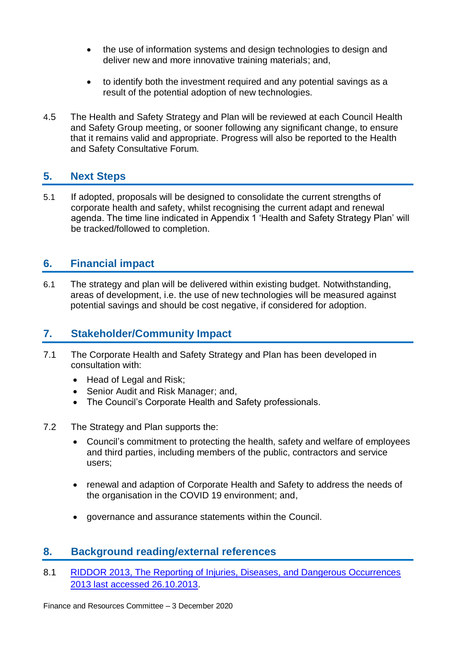- the use of information systems and design technologies to design and deliver new and more innovative training materials; and,
- to identify both the investment required and any potential savings as a result of the potential adoption of new technologies.
- 4.5 The Health and Safety Strategy and Plan will be reviewed at each Council Health and Safety Group meeting, or sooner following any significant change, to ensure that it remains valid and appropriate. Progress will also be reported to the Health and Safety Consultative Forum.

#### **5. Next Steps**

5.1 If adopted, proposals will be designed to consolidate the current strengths of corporate health and safety, whilst recognising the current adapt and renewal agenda. The time line indicated in Appendix 1 'Health and Safety Strategy Plan' will be tracked/followed to completion.

### **6. Financial impact**

6.1 The strategy and plan will be delivered within existing budget. Notwithstanding, areas of development, i.e. the use of new technologies will be measured against potential savings and should be cost negative, if considered for adoption.

#### **7. Stakeholder/Community Impact**

- 7.1 The Corporate Health and Safety Strategy and Plan has been developed in consultation with:
	- Head of Legal and Risk;
	- Senior Audit and Risk Manager; and,
	- The Council's Corporate Health and Safety professionals.
- 7.2 The Strategy and Plan supports the:
	- Council's commitment to protecting the health, safety and welfare of employees and third parties, including members of the public, contractors and service users;
	- renewal and adaption of Corporate Health and Safety to address the needs of the organisation in the COVID 19 environment; and,
	- governance and assurance statements within the Council.

#### **8. Background reading/external references**

8.1 RIDDOR 2013, The Reporting of Injuries, Diseases, and Dangerous Occurrences [2013 last accessed 26.10.2013.](https://www.hse.gov.uk/riddor/)

Finance and Resources Committee – 3 December 2020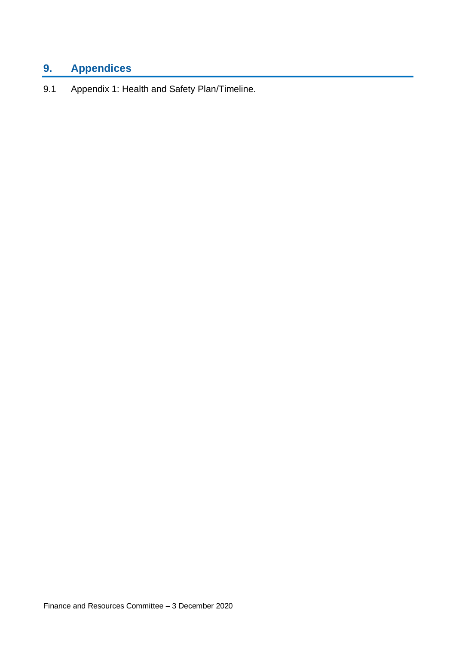# **9. Appendices**

9.1 Appendix 1: Health and Safety Plan/Timeline.